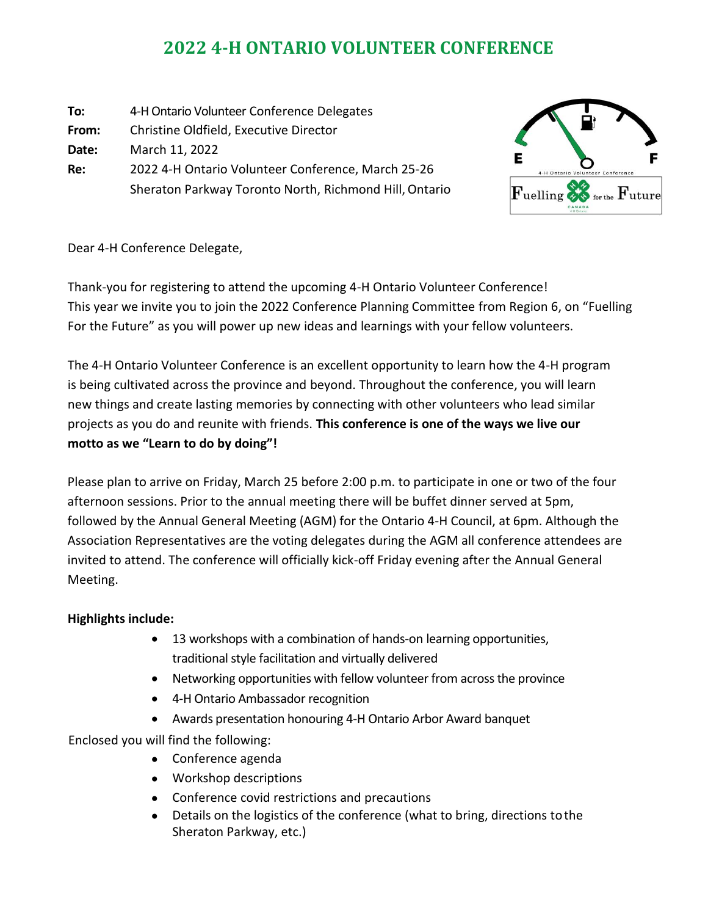# **2022 4-H ONTARIO VOLUNTEER CONFERENCE**

| To:   | 4-H Ontario Volunteer Conference Delegates             |
|-------|--------------------------------------------------------|
| From: | Christine Oldfield, Executive Director                 |
| Date: | March 11, 2022                                         |
| Re:   | 2022 4-H Ontario Volunteer Conference, March 25-26     |
|       | Sheraton Parkway Toronto North, Richmond Hill, Ontario |



#### Dear 4-H Conference Delegate,

Thank-you for registering to attend the upcoming 4-H Ontario Volunteer Conference! This year we invite you to join the 2022 Conference Planning Committee from Region 6, on "Fuelling For the Future" as you will power up new ideas and learnings with your fellow volunteers.

The 4-H Ontario Volunteer Conference is an excellent opportunity to learn how the 4-H program is being cultivated across the province and beyond. Throughout the conference, you will learn new things and create lasting memories by connecting with other volunteers who lead similar projects as you do and reunite with friends. **This conference is one of the ways we live our motto as we "Learn to do by doing"!**

Please plan to arrive on Friday, March 25 before 2:00 p.m. to participate in one or two of the four afternoon sessions. Prior to the annual meeting there will be buffet dinner served at 5pm, followed by the Annual General Meeting (AGM) for the Ontario 4-H Council, at 6pm. Although the Association Representatives are the voting delegates during the AGM all conference attendees are invited to attend. The conference will officially kick-off Friday evening after the Annual General Meeting.

### **Highlights include:**

- 13 workshops with a combination of hands-on learning opportunities, traditional style facilitation and virtually delivered
- Networking opportunities with fellow volunteer from across the province
- 4-H Ontario Ambassador recognition
- Awards presentation honouring 4-H Ontario Arbor Award banquet

Enclosed you will find the following:

- Conference agenda
- Workshop descriptions
- Conference covid restrictions and precautions
- Details on the logistics of the conference (what to bring, directions tothe Sheraton Parkway, etc.)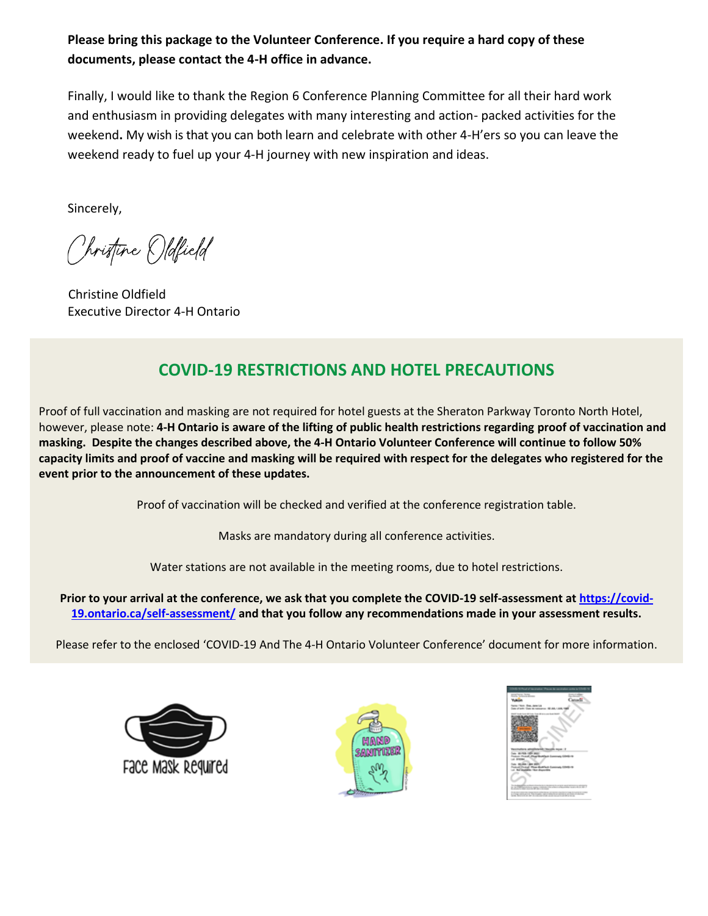**Please bring this package to the Volunteer Conference. If you require a hard copy of these documents, please contact the 4-H office in advance.**

Finally, I would like to thank the Region 6 Conference Planning Committee for all their hard work and enthusiasm in providing delegates with many interesting and action- packed activities for the weekend**.** My wish is that you can both learn and celebrate with other 4-H'ers so you can leave the weekend ready to fuel up your 4-H journey with new inspiration and ideas.

Sincerely,

Christine Oldfield

Christine Oldfield Executive Director 4-H Ontario

# **COVID-19 RESTRICTIONS AND HOTEL PRECAUTIONS**

Proof of full vaccination and masking are not required for hotel guests at the Sheraton Parkway Toronto North Hotel, however, please note: **4-H Ontario is aware of the lifting of public health restrictions regarding proof of vaccination and masking. Despite the changes described above, the 4-H Ontario Volunteer Conference will continue to follow 50% capacity limits and proof of vaccine and masking will be required with respect for the delegates who registered for the event prior to the announcement of these updates.**

Proof of vaccination will be checked and verified at the conference registration table.

Masks are mandatory during all conference activities.

Water stations are not available in the meeting rooms, due to hotel restrictions.

**Prior to your arrival at the conference, we ask that you complete the COVID-19 self-assessment at [https://covid-](https://covid-19.ontario.ca/self-assessment/)[19.ontario.ca/self-assessment/](https://covid-19.ontario.ca/self-assessment/) and that you follow any recommendations made in your assessment results.**

Please refer to the enclosed 'COVID-19 And The 4-H Ontario Volunteer Conference' document for more information.





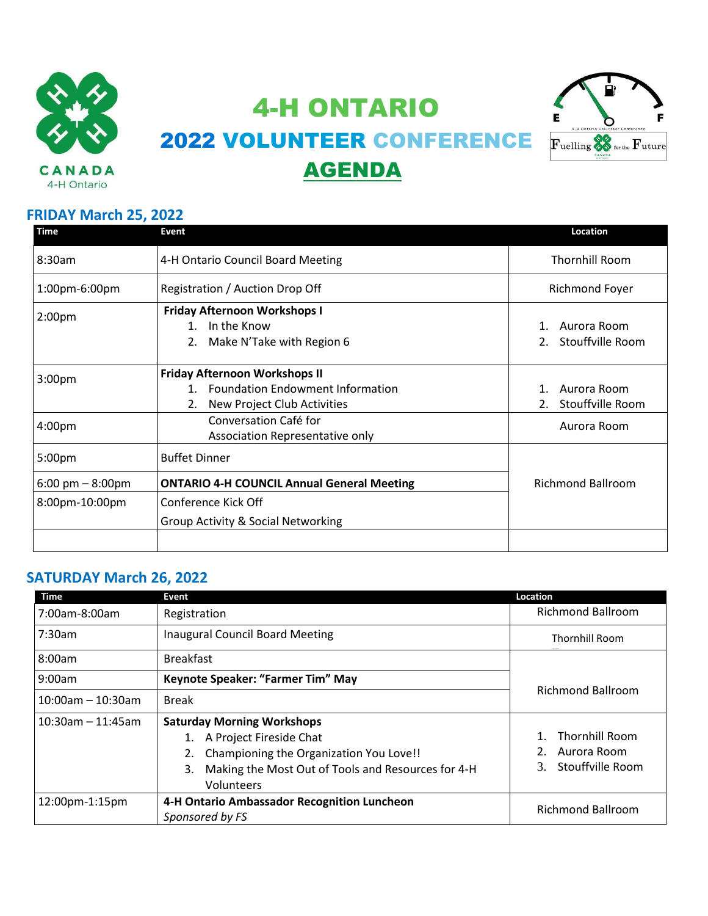

4-H ONTARIO 2022 VOLUNTEER CONFERENCE AGENDA



#### **FRIDAY March 25, 2022**

| <b>Time</b>                        | Event                                                                                                            | Location                        |
|------------------------------------|------------------------------------------------------------------------------------------------------------------|---------------------------------|
| 8:30am                             | 4-H Ontario Council Board Meeting                                                                                | <b>Thornhill Room</b>           |
| 1:00pm-6:00pm                      | Registration / Auction Drop Off                                                                                  | Richmond Foyer                  |
| 2:00 <sub>pm</sub>                 | <b>Friday Afternoon Workshops I</b><br>In the Know<br>$\mathbf{1}$<br>Make N'Take with Region 6                  | Aurora Room<br>Stouffville Room |
| 3:00 <sub>pm</sub>                 | <b>Friday Afternoon Workshops II</b><br>1. Foundation Endowment Information<br>New Project Club Activities<br>2. | Aurora Room<br>Stouffville Room |
| 4:00pm                             | Conversation Café for<br>Association Representative only                                                         | Aurora Room                     |
| 5:00pm                             | <b>Buffet Dinner</b>                                                                                             |                                 |
| $6:00 \text{ pm} - 8:00 \text{pm}$ | <b>ONTARIO 4-H COUNCIL Annual General Meeting</b>                                                                | <b>Richmond Ballroom</b>        |
| 8:00pm-10:00pm                     | Conference Kick Off<br><b>Group Activity &amp; Social Networking</b>                                             |                                 |
|                                    |                                                                                                                  |                                 |

## **SATURDAY March 26, 2022**

| Time                 | Event                                                                                                                                                                                | Location                                                                  |  |
|----------------------|--------------------------------------------------------------------------------------------------------------------------------------------------------------------------------------|---------------------------------------------------------------------------|--|
| 7:00am-8:00am        | Registration                                                                                                                                                                         | <b>Richmond Ballroom</b>                                                  |  |
| 7:30am               | <b>Inaugural Council Board Meeting</b>                                                                                                                                               | <b>Thornhill Room</b>                                                     |  |
| 8:00am               | <b>Breakfast</b>                                                                                                                                                                     |                                                                           |  |
| 9:00am               | Keynote Speaker: "Farmer Tim" May                                                                                                                                                    | <b>Richmond Ballroom</b>                                                  |  |
| $10:00$ am - 10:30am | <b>Break</b>                                                                                                                                                                         |                                                                           |  |
| $10:30$ am - 11:45am | <b>Saturday Morning Workshops</b><br>1. A Project Fireside Chat<br>Championing the Organization You Love!!<br>Making the Most Out of Tools and Resources for 4-H<br>3.<br>Volunteers | <b>Thornhill Room</b><br>$1_{-}$<br>Aurora Room<br>Stouffville Room<br>3. |  |
| 12:00pm-1:15pm       | 4-H Ontario Ambassador Recognition Luncheon<br>Sponsored by FS                                                                                                                       | <b>Richmond Ballroom</b>                                                  |  |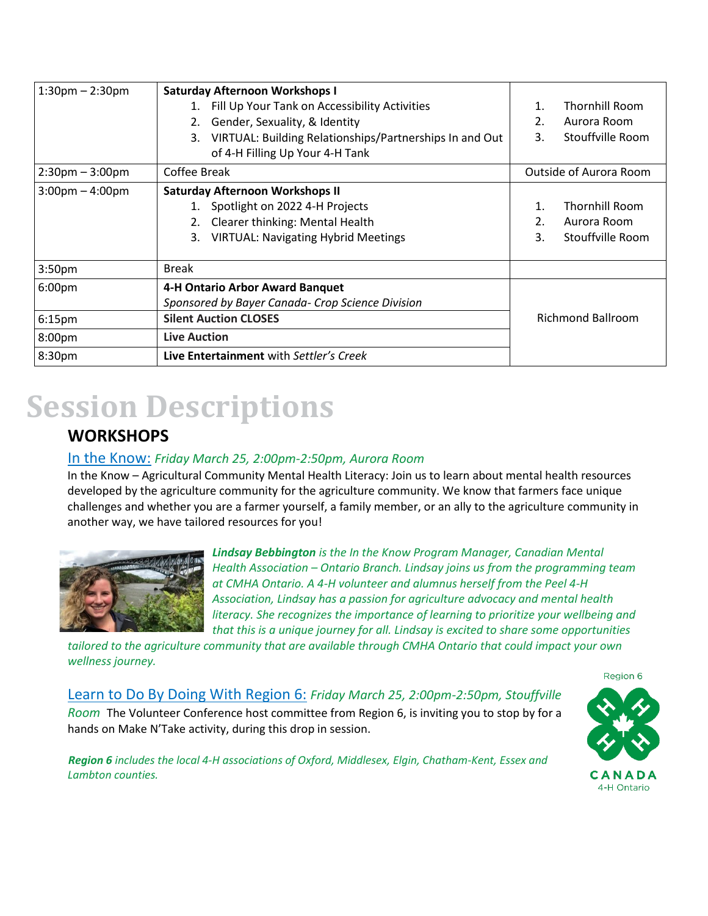| $1:30$ pm $- 2:30$ pm             | <b>Saturday Afternoon Workshops I</b>                         |                          |                       |
|-----------------------------------|---------------------------------------------------------------|--------------------------|-----------------------|
|                                   | Fill Up Your Tank on Accessibility Activities                 | 1.                       | <b>Thornhill Room</b> |
|                                   | Gender, Sexuality, & Identity<br>2.                           | 2.                       | Aurora Room           |
|                                   | VIRTUAL: Building Relationships/Partnerships In and Out<br>3. | 3.                       | Stouffville Room      |
|                                   | of 4-H Filling Up Your 4-H Tank                               |                          |                       |
| $2:30 \text{pm} - 3:00 \text{pm}$ | Coffee Break                                                  | Outside of Aurora Room   |                       |
| $3:00 \text{pm} - 4:00 \text{pm}$ | <b>Saturday Afternoon Workshops II</b>                        |                          |                       |
|                                   | 1. Spotlight on 2022 4-H Projects                             | 1.                       | Thornhill Room        |
|                                   | Clearer thinking: Mental Health                               | $\overline{2}$ .         | Aurora Room           |
|                                   | <b>VIRTUAL: Navigating Hybrid Meetings</b><br>3.              | 3.                       | Stouffville Room      |
| 3:50 <sub>pm</sub>                | <b>Break</b>                                                  |                          |                       |
| 6:00 <sub>pm</sub>                | 4-H Ontario Arbor Award Banquet                               |                          |                       |
|                                   | Sponsored by Bayer Canada- Crop Science Division              |                          |                       |
| 6:15 <sub>pm</sub>                | <b>Silent Auction CLOSES</b>                                  | <b>Richmond Ballroom</b> |                       |
| 8:00pm                            | <b>Live Auction</b>                                           |                          |                       |
| 8:30pm                            | Live Entertainment with Settler's Creek                       |                          |                       |

# **Session Descriptions**

## **WORKSHOPS**

#### In the Know: *Friday March 25, 2:00pm-2:50pm, Aurora Room*

hands on Make N'Take activity, during this drop in session.

In the Know – Agricultural Community Mental Health Literacy: Join us to learn about mental health resources developed by the agriculture community for the agriculture community. We know that farmers face unique challenges and whether you are a farmer yourself, a family member, or an ally to the agriculture community in another way, we have tailored resources for you!



*Lindsay Bebbington is the In the Know Program Manager, Canadian Mental Health Association – Ontario Branch. Lindsay joins us from the programming team at CMHA Ontario. A 4-H volunteer and alumnus herself from the Peel 4-H Association, Lindsay has a passion for agriculture advocacy and mental health literacy. She recognizes the importance of learning to prioritize your wellbeing and that this is a unique journey for all. Lindsay is excited to share some opportunities* 

*tailored to the agriculture community that are available through CMHA Ontario that could impact your own wellness journey.*

Learn to Do By Doing With Region 6: *Friday March 25, 2:00pm-2:50pm, Stouffville Room* The Volunteer Conference host committee from Region 6, is inviting you to stop by for a

*Region 6 includes the local 4-H associations of Oxford, Middlesex, Elgin, Chatham-Kent, Essex and Lambton counties.*

Region 6 CANADA 4-H Ontario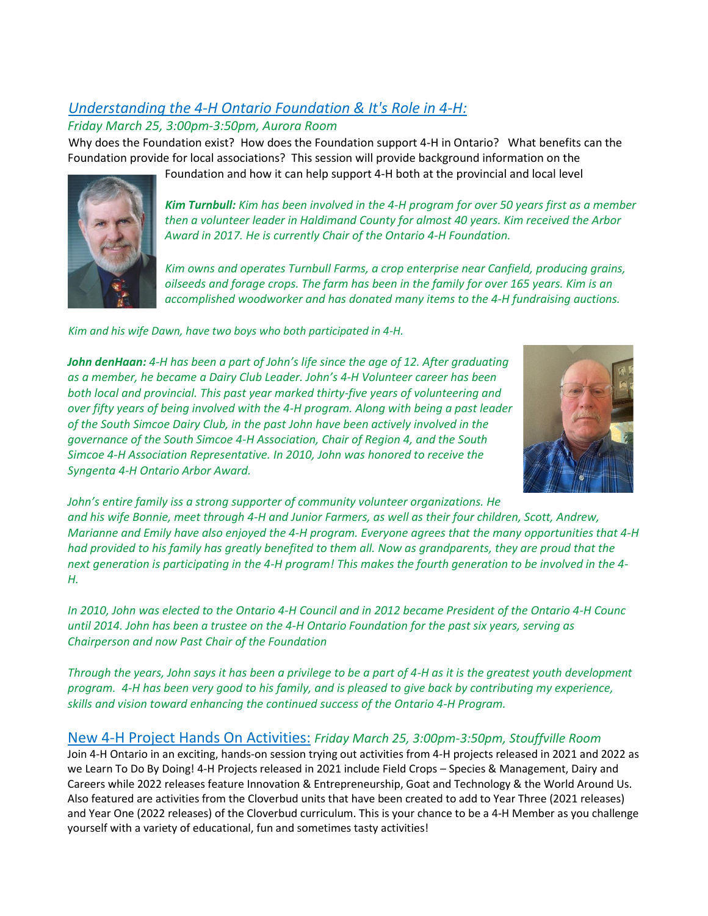## *Understanding the 4-H Ontario Foundation & It's Role in 4-H:*

#### *Friday March 25, 3:00pm-3:50pm, Aurora Room*

Why does the Foundation exist? How does the Foundation support 4-H in Ontario? What benefits can the Foundation provide for local associations? This session will provide background information on the



Foundation and how it can help support 4-H both at the provincial and local level

*Kim Turnbull: Kim has been involved in the 4-H program for over 50 years first as a member then a volunteer leader in Haldimand County for almost 40 years. Kim received the Arbor Award in 2017. He is currently Chair of the Ontario 4-H Foundation.*

*Kim owns and operates Turnbull Farms, a crop enterprise near Canfield, producing grains, oilseeds and forage crops. The farm has been in the family for over 165 years. Kim is an accomplished woodworker and has donated many items to the 4-H fundraising auctions.* 

*Kim and his wife Dawn, have two boys who both participated in 4-H.*





*John's entire family iss a strong supporter of community volunteer organizations. He and his wife Bonnie, meet through 4-H and Junior Farmers, as well as their four children, Scott, Andrew, Marianne and Emily have also enjoyed the 4-H program. Everyone agrees that the many opportunities that 4-H had provided to his family has greatly benefited to them all. Now as grandparents, they are proud that the next generation is participating in the 4-H program! This makes the fourth generation to be involved in the 4- H.*

*In 2010, John was elected to the Ontario 4-H Council and in 2012 became President of the Ontario 4-H Counc until 2014. John has been a trustee on the 4-H Ontario Foundation for the past six years, serving as Chairperson and now Past Chair of the Foundation*

*Through the years, John says it has been a privilege to be a part of 4-H as it is the greatest youth development program. 4-H has been very good to his family, and is pleased to give back by contributing my experience, skills and vision toward enhancing the continued success of the Ontario 4-H Program.* 

### New 4-H Project Hands On Activities: *Friday March 25, 3:00pm-3:50pm, Stouffville Room*

Join 4-H Ontario in an exciting, hands-on session trying out activities from 4-H projects released in 2021 and 2022 as we Learn To Do By Doing! 4-H Projects released in 2021 include Field Crops – Species & Management, Dairy and Careers while 2022 releases feature Innovation & Entrepreneurship, Goat and Technology & the World Around Us. Also featured are activities from the Cloverbud units that have been created to add to Year Three (2021 releases) and Year One (2022 releases) of the Cloverbud curriculum. This is your chance to be a 4-H Member as you challenge yourself with a variety of educational, fun and sometimes tasty activities!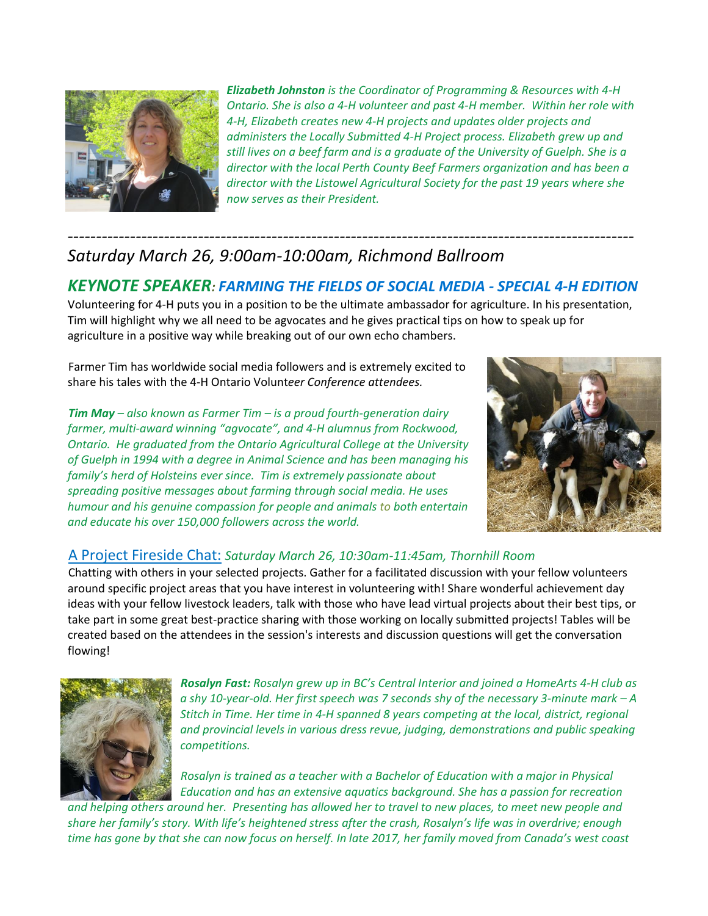

*Elizabeth Johnston is the Coordinator of Programming & Resources with 4-H Ontario. She is also a 4-H volunteer and past 4-H member. Within her role with 4-H, Elizabeth creates new 4-H projects and updates older projects and administers the Locally Submitted 4-H Project process. Elizabeth grew up and still lives on a beef farm and is a graduate of the University of Guelph. She is a director with the local Perth County Beef Farmers organization and has been a director with the Listowel Agricultural Society for the past 19 years where she now serves as their President.*

## *---------------------------------------------------------------------------------------------------- Saturday March 26, 9:00am-10:00am, Richmond Ballroom*

## *KEYNOTE SPEAKER: FARMING THE FIELDS OF SOCIAL MEDIA - SPECIAL 4-H EDITION*

Volunteering for 4-H puts you in a position to be the ultimate ambassador for agriculture. In his presentation, Tim will highlight why we all need to be agvocates and he gives practical tips on how to speak up for agriculture in a positive way while breaking out of our own echo chambers.

Farmer Tim has worldwide social media followers and is extremely excited to share his tales with the 4-H Ontario Volunt*eer Conference attendees.*

*Tim May – also known as Farmer Tim – is a proud fourth-generation dairy farmer, multi-award winning "agvocate", and 4-H alumnus from Rockwood, Ontario. He graduated from the Ontario Agricultural College at the University of Guelph in 1994 with a degree in Animal Science and has been managing his family's herd of Holsteins ever since. Tim is extremely passionate about spreading positive messages about farming through social media. He uses humour and his genuine compassion for people and animals to both entertain and educate his over 150,000 followers across the world.*



#### A Project Fireside Chat: *Saturday March 26, 10:30am-11:45am, Thornhill Room*

Chatting with others in your selected projects. Gather for a facilitated discussion with your fellow volunteers around specific project areas that you have interest in volunteering with! Share wonderful achievement day ideas with your fellow livestock leaders, talk with those who have lead virtual projects about their best tips, or take part in some great best-practice sharing with those working on locally submitted projects! Tables will be created based on the attendees in the session's interests and discussion questions will get the conversation flowing!



*Rosalyn Fast: Rosalyn grew up in BC's Central Interior and joined a HomeArts 4-H club as a shy 10-year-old. Her first speech was 7 seconds shy of the necessary 3-minute mark – A Stitch in Time. Her time in 4-H spanned 8 years competing at the local, district, regional and provincial levels in various dress revue, judging, demonstrations and public speaking competitions.*

*Rosalyn is trained as a teacher with a Bachelor of Education with a major in Physical Education and has an extensive aquatics background. She has a passion for recreation* 

*and helping others around her. Presenting has allowed her to travel to new places, to meet new people and share her family's story. With life's heightened stress after the crash, Rosalyn's life was in overdrive; enough time has gone by that she can now focus on herself. In late 2017, her family moved from Canada's west coast*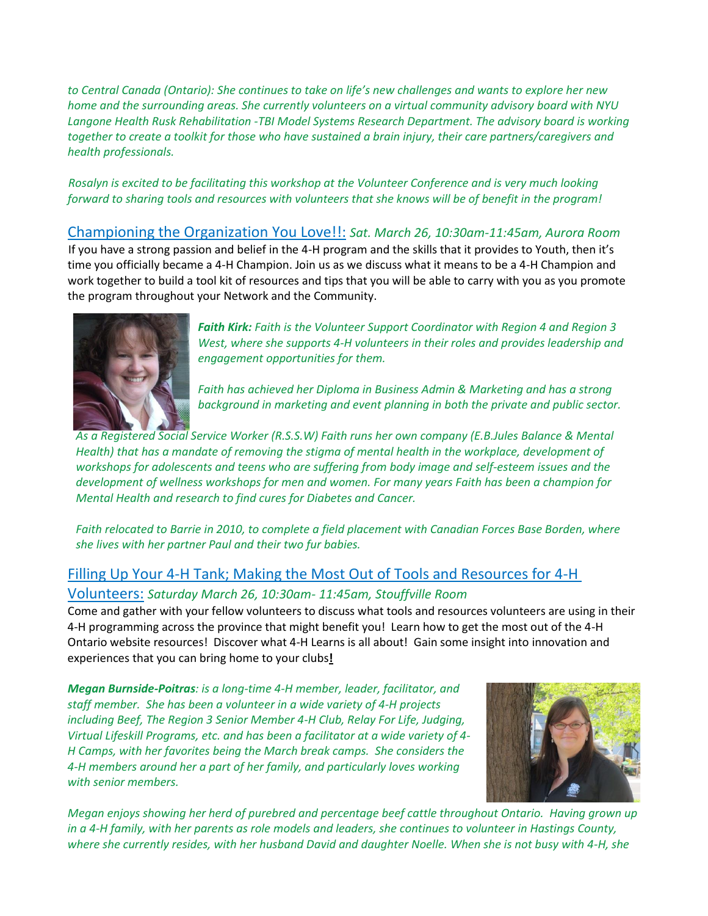*to Central Canada (Ontario): She continues to take on life's new challenges and wants to explore her new home and the surrounding areas. She currently volunteers on a virtual community advisory board with NYU Langone Health Rusk Rehabilitation -TBI Model Systems Research Department. The advisory board is working together to create a toolkit for those who have sustained a brain injury, their care partners/caregivers and health professionals.*

*Rosalyn is excited to be facilitating this workshop at the Volunteer Conference and is very much looking forward to sharing tools and resources with volunteers that she knows will be of benefit in the program!*

Championing the Organization You Love!!: *Sat. March 26, 10:30am-11:45am, Aurora Room* If you have a strong passion and belief in the 4-H program and the skills that it provides to Youth, then it's time you officially became a 4-H Champion. Join us as we discuss what it means to be a 4-H Champion and work together to build a tool kit of resources and tips that you will be able to carry with you as you promote the program throughout your Network and the Community.



*Faith Kirk: Faith is the Volunteer Support Coordinator with Region 4 and Region 3 West, where she supports 4-H volunteers in their roles and provides leadership and engagement opportunities for them.*

*Faith has achieved her Diploma in Business Admin & Marketing and has a strong background in marketing and event planning in both the private and public sector.*

*As a Registered Social Service Worker (R.S.S.W) Faith runs her own company (E.B.Jules Balance & Mental Health) that has a mandate of removing the stigma of mental health in the workplace, development of workshops for adolescents and teens who are suffering from body image and self-esteem issues and the development of wellness workshops for men and women. For many years Faith has been a champion for Mental Health and research to find cures for Diabetes and Cancer.*

*Faith relocated to Barrie in 2010, to complete a field placement with Canadian Forces Base Borden, where she lives with her partner Paul and their two fur babies.*

### Filling Up Your 4-H Tank; Making the Most Out of Tools and Resources for 4-H

#### Volunteers: *Saturday March 26, 10:30am- 11:45am, Stouffville Room*

Come and gather with your fellow volunteers to discuss what tools and resources volunteers are using in their 4-H programming across the province that might benefit you! Learn how to get the most out of the 4-H Ontario website resources! Discover what 4-H Learns is all about! Gain some insight into innovation and experiences that you can bring home to your clubs**!**

*Megan Burnside-Poitras: is a long-time 4-H member, leader, facilitator, and staff member. She has been a volunteer in a wide variety of 4-H projects including Beef, The Region 3 Senior Member 4-H Club, Relay For Life, Judging, Virtual Lifeskill Programs, etc. and has been a facilitator at a wide variety of 4- H Camps, with her favorites being the March break camps. She considers the 4-H members around her a part of her family, and particularly loves working with senior members.*



*Megan enjoys showing her herd of purebred and percentage beef cattle throughout Ontario. Having grown up in a 4-H family, with her parents as role models and leaders, she continues to volunteer in Hastings County, where she currently resides, with her husband David and daughter Noelle. When she is not busy with 4-H, she*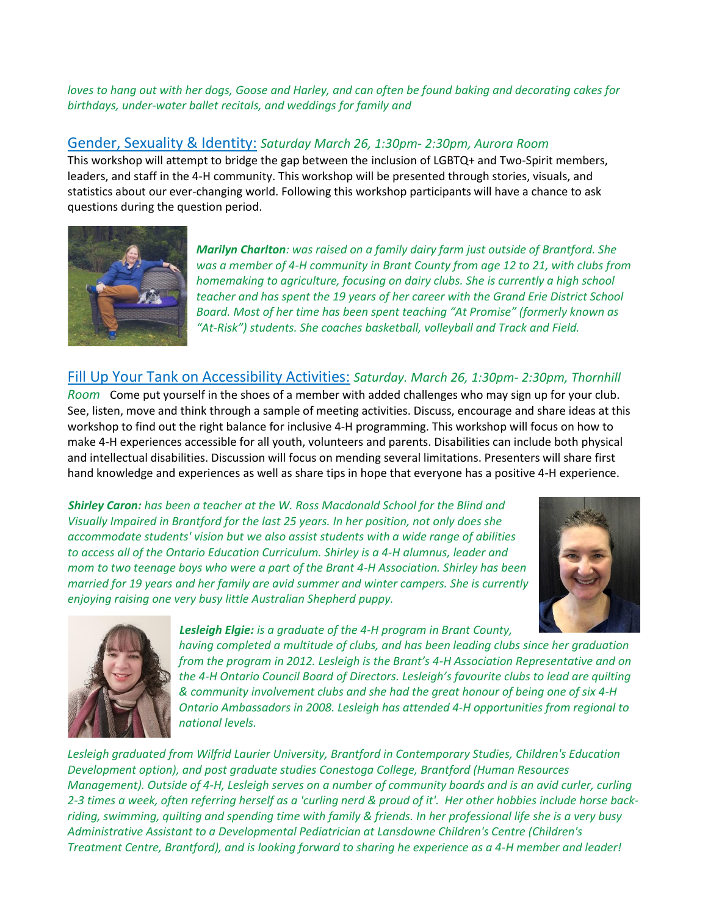*loves to hang out with her dogs, Goose and Harley, and can often be found baking and decorating cakes for birthdays, under-water ballet recitals, and weddings for family and*

#### Gender, Sexuality & Identity: *Saturday March 26, 1:30pm- 2:30pm, Aurora Room*

This workshop will attempt to bridge the gap between the inclusion of LGBTQ+ and Two-Spirit members, leaders, and staff in the 4-H community. This workshop will be presented through stories, visuals, and statistics about our ever-changing world. Following this workshop participants will have a chance to ask questions during the question period.



*Marilyn Charlton: was raised on a family dairy farm just outside of Brantford. She was a member of 4-H community in Brant County from age 12 to 21, with clubs from homemaking to agriculture, focusing on dairy clubs. She is currently a high school teacher and has spent the 19 years of her career with the Grand Erie District School Board. Most of her time has been spent teaching "At Promise" (formerly known as "At-Risk") students. She coaches basketball, volleyball and Track and Field.*

#### Fill Up Your Tank on Accessibility Activities: *Saturday. March 26, 1:30pm- 2:30pm, Thornhill*

*Room* Come put yourself in the shoes of a member with added challenges who may sign up for your club. See, listen, move and think through a sample of meeting activities. Discuss, encourage and share ideas at this workshop to find out the right balance for inclusive 4-H programming. This workshop will focus on how to make 4-H experiences accessible for all youth, volunteers and parents. Disabilities can include both physical and intellectual disabilities. Discussion will focus on mending several limitations. Presenters will share first hand knowledge and experiences as well as share tips in hope that everyone has a positive 4-H experience.

*Shirley Caron: has been a teacher at the W. Ross Macdonald School for the Blind and Visually Impaired in Brantford for the last 25 years. In her position, not only does she accommodate students' vision but we also assist students with a wide range of abilities to access all of the Ontario Education Curriculum. Shirley is a 4-H alumnus, leader and mom to two teenage boys who were a part of the Brant 4-H Association. Shirley has been married for 19 years and her family are avid summer and winter campers. She is currently enjoying raising one very busy little Australian Shepherd puppy.*





#### *Lesleigh Elgie: is a graduate of the 4-H program in Brant County,*

*having completed a multitude of clubs, and has been leading clubs since her graduation from the program in 2012. Lesleigh is the Brant's 4-H Association Representative and on the 4-H Ontario Council Board of Directors. Lesleigh's favourite clubs to lead are quilting & community involvement clubs and she had the great honour of being one of six 4-H Ontario Ambassadors in 2008. Lesleigh has attended 4-H opportunities from regional to national levels.*

*Lesleigh graduated from Wilfrid Laurier University, Brantford in Contemporary Studies, Children's Education Development option), and post graduate studies Conestoga College, Brantford (Human Resources Management). Outside of 4-H, Lesleigh serves on a number of community boards and is an avid curler, curling 2-3 times a week, often referring herself as a 'curling nerd & proud of it'. Her other hobbies include horse backriding, swimming, quilting and spending time with family & friends. In her professional life she is a very busy Administrative Assistant to a Developmental Pediatrician at Lansdowne Children's Centre (Children's Treatment Centre, Brantford), and is looking forward to sharing he experience as a 4-H member and leader!*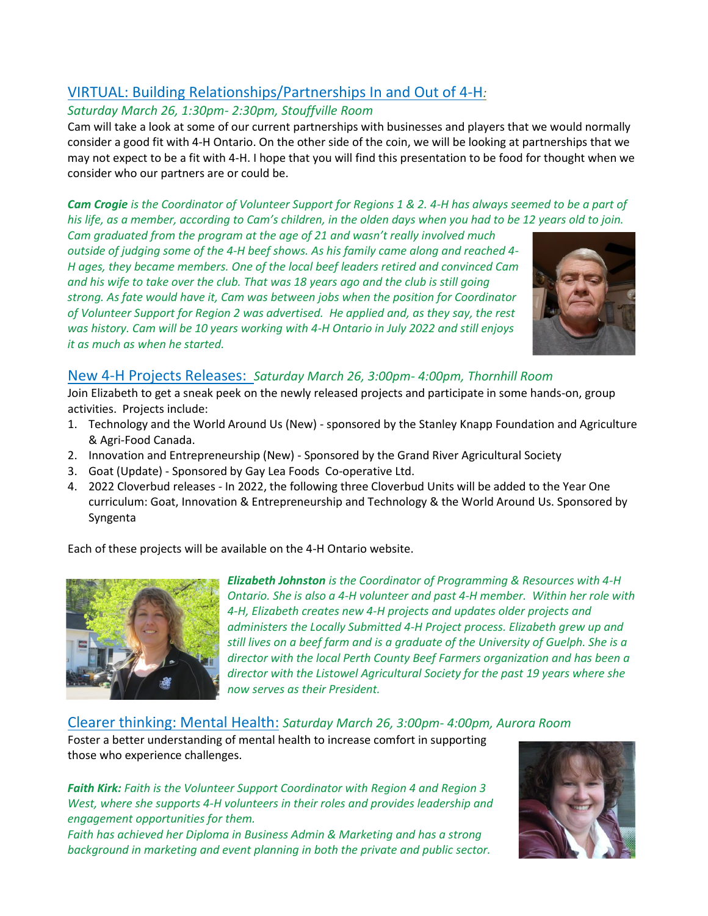## VIRTUAL: Building Relationships/Partnerships In and Out of 4-H*:*

#### *Saturday March 26, 1:30pm- 2:30pm, Stouffville Room*

Cam will take a look at some of our current partnerships with businesses and players that we would normally consider a good fit with 4-H Ontario. On the other side of the coin, we will be looking at partnerships that we may not expect to be a fit with 4-H. I hope that you will find this presentation to be food for thought when we consider who our partners are or could be.

#### *Cam Crogie is the Coordinator of Volunteer Support for Regions 1 & 2. 4-H has always seemed to be a part of his life, as a member, according to Cam's children, in the olden days when you had to be 12 years old to join.*

*Cam graduated from the program at the age of 21 and wasn't really involved much outside of judging some of the 4-H beef shows. As his family came along and reached 4- H ages, they became members. One of the local beef leaders retired and convinced Cam and his wife to take over the club. That was 18 years ago and the club is still going strong. As fate would have it, Cam was between jobs when the position for Coordinator of Volunteer Support for Region 2 was advertised. He applied and, as they say, the rest was history. Cam will be 10 years working with 4-H Ontario in July 2022 and still enjoys it as much as when he started.* 



### New 4-H Projects Releases: *Saturday March 26, 3:00pm- 4:00pm, Thornhill Room*

Join Elizabeth to get a sneak peek on the newly released projects and participate in some hands-on, group activities. Projects include:

- 1. Technology and the World Around Us (New) sponsored by the Stanley Knapp Foundation and Agriculture & Agri-Food Canada.
- 2. Innovation and Entrepreneurship (New) Sponsored by the Grand River Agricultural Society
- 3. Goat (Update) Sponsored by Gay Lea Foods Co-operative Ltd.
- 4. 2022 Cloverbud releases In 2022, the following three Cloverbud Units will be added to the Year One curriculum: Goat, Innovation & Entrepreneurship and Technology & the World Around Us. Sponsored by Syngenta

Each of these projects will be available on the 4-H Ontario website.



*Elizabeth Johnston is the Coordinator of Programming & Resources with 4-H Ontario. She is also a 4-H volunteer and past 4-H member. Within her role with 4-H, Elizabeth creates new 4-H projects and updates older projects and administers the Locally Submitted 4-H Project process. Elizabeth grew up and still lives on a beef farm and is a graduate of the University of Guelph. She is a director with the local Perth County Beef Farmers organization and has been a director with the Listowel Agricultural Society for the past 19 years where she now serves as their President.*

#### Clearer thinking: Mental Health: *Saturday March 26, 3:00pm- 4:00pm, Aurora Room*

Foster a better understanding of mental health to increase comfort in supporting those who experience challenges.

*Faith Kirk: Faith is the Volunteer Support Coordinator with Region 4 and Region 3 West, where she supports 4-H volunteers in their roles and provides leadership and engagement opportunities for them.*

*Faith has achieved her Diploma in Business Admin & Marketing and has a strong background in marketing and event planning in both the private and public sector.*

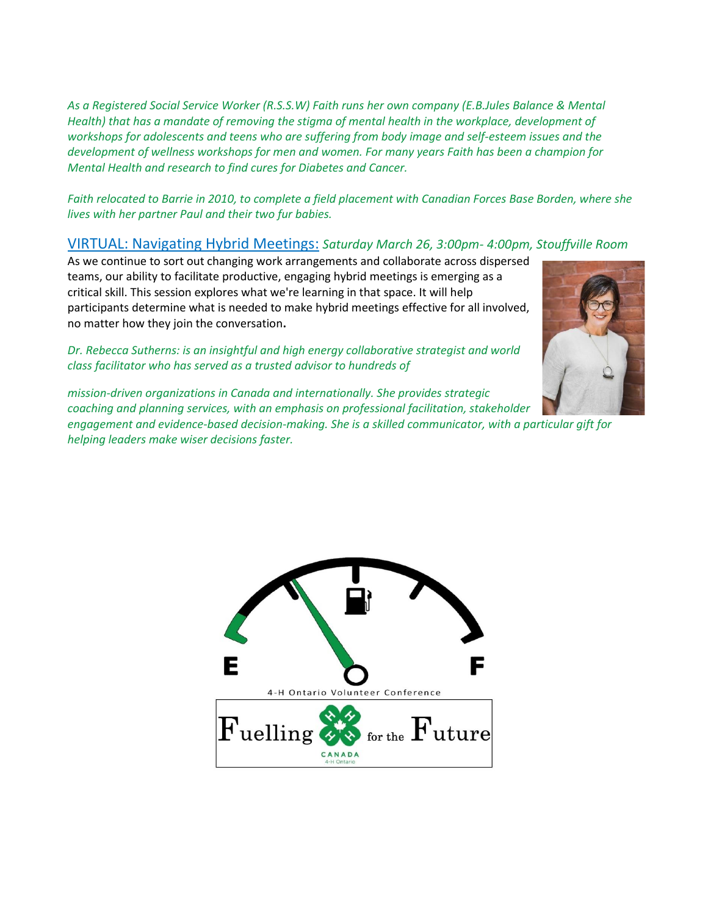*As a Registered Social Service Worker (R.S.S.W) Faith runs her own company (E.B.Jules Balance & Mental Health) that has a mandate of removing the stigma of mental health in the workplace, development of workshops for adolescents and teens who are suffering from body image and self-esteem issues and the development of wellness workshops for men and women. For many years Faith has been a champion for Mental Health and research to find cures for Diabetes and Cancer.*

*Faith relocated to Barrie in 2010, to complete a field placement with Canadian Forces Base Borden, where she lives with her partner Paul and their two fur babies.*

#### VIRTUAL: Navigating Hybrid Meetings: *Saturday March 26, 3:00pm- 4:00pm, Stouffville Room*

As we continue to sort out changing work arrangements and collaborate across dispersed teams, our ability to facilitate productive, engaging hybrid meetings is emerging as a critical skill. This session explores what we're learning in that space. It will help participants determine what is needed to make hybrid meetings effective for all involved, no matter how they join the conversation**.**

*Dr. Rebecca Sutherns: is an insightful and high energy collaborative strategist and world class facilitator who has served as a trusted advisor to hundreds of* 



*engagement and evidence-based decision-making. She is a skilled communicator, with a particular gift for helping leaders make wiser decisions faster.*



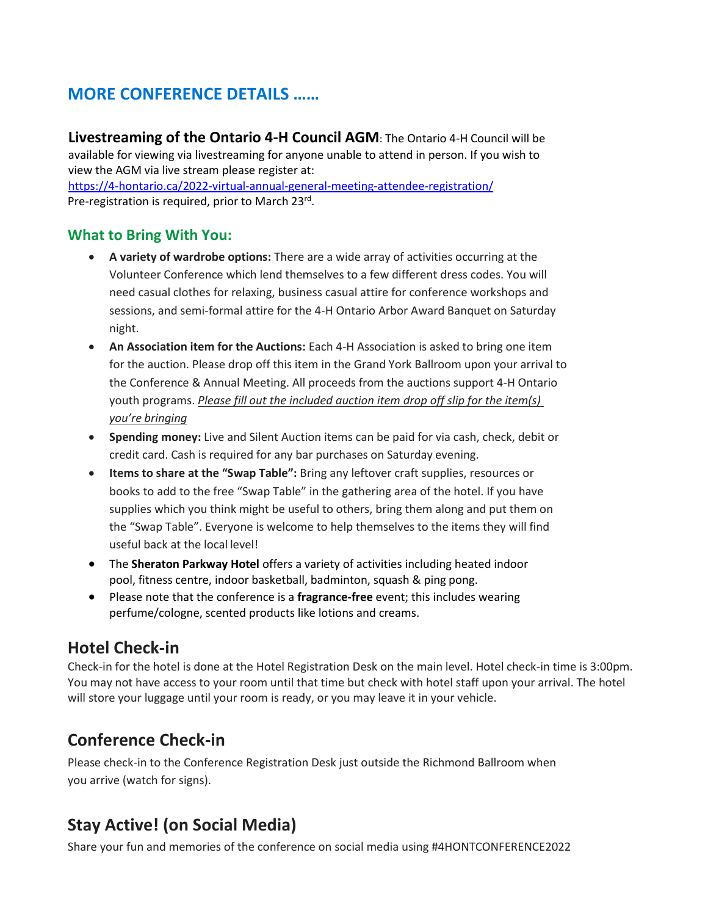## **MORE CONFERENCE DETAILS ……**

**Livestreaming of the Ontario 4-H Council AGM**: The Ontario 4-H Council will be available for viewing via livestreaming for anyone unable to attend in person. If you wish to view the AGM via live stream please register at:

<https://4-hontario.ca/2022-virtual-annual-general-meeting-attendee-registration/> Pre-registration is required, prior to March 23rd.

### **What to Bring With You:**

- **A variety of wardrobe options:** There are a wide array of activities occurring at the Volunteer Conference which lend themselves to a few different dress codes. You will need casual clothes for relaxing, business casual attire for conference workshops and sessions, and semi-formal attire for the 4-H Ontario Arbor Award Banquet on Saturday night.
- **An Association item for the Auctions:** Each 4-H Association is asked to bring one item for the auction. Please drop off this item in the Grand York Ballroom upon your arrival to the Conference & Annual Meeting. All proceeds from the auctions support 4-H Ontario youth programs. *Please fill out the included auction item drop off slip for the item(s) you're bringing*
- **Spending money:** Live and Silent Auction items can be paid for via cash, check, debit or credit card. Cash is required for any bar purchases on Saturday evening.
- **Items to share at the "Swap Table":** Bring any leftover craft supplies, resources or books to add to the free "Swap Table" in the gathering area of the hotel. If you have supplies which you think might be useful to others, bring them along and put them on the "Swap Table". Everyone is welcome to help themselves to the items they will find useful back at the local level!
- The **Sheraton Parkway Hotel** offers a variety of activities including heated indoor pool, fitness centre, indoor basketball, badminton, squash & ping pong.
- Please note that the conference is a **fragrance-free** event; this includes wearing perfume/cologne, scented products like lotions and creams.

## **Hotel Check-in**

Check-in for the hotel is done at the Hotel Registration Desk on the main level. Hotel check-in time is 3:00pm. You may not have access to your room until that time but check with hotel staff upon your arrival. The hotel will store your luggage until your room is ready, or you may leave it in your vehicle.

## **Conference Check-in**

Please check-in to the Conference Registration Desk just outside the Richmond Ballroom when you arrive (watch for signs).

## **Stay Active! (on Social Media)**

Share your fun and memories of the conference on social media using #4HONTCONFERENCE2022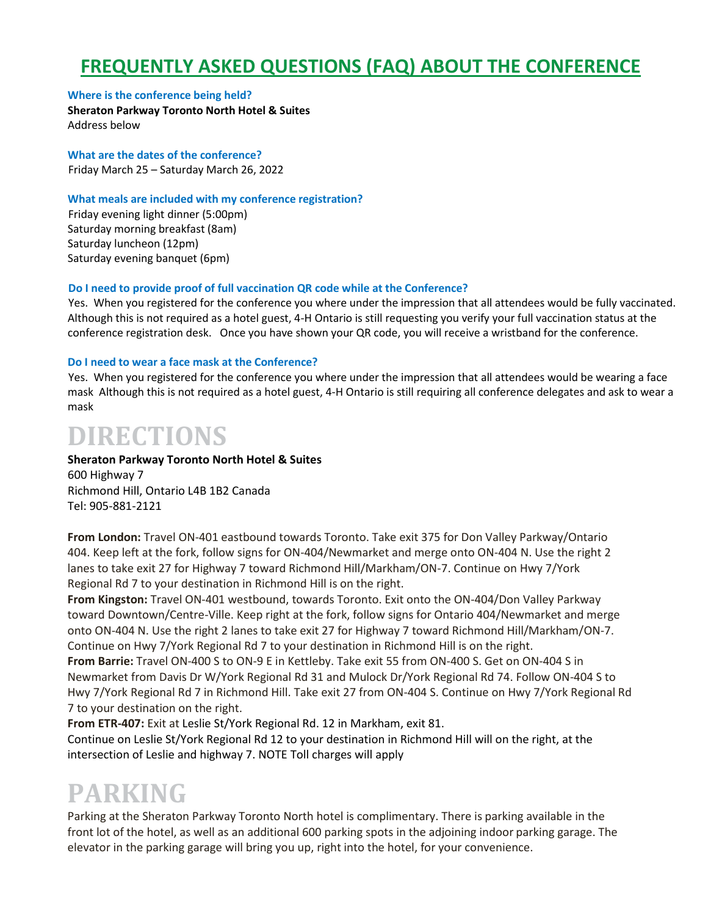# **FREQUENTLY ASKED QUESTIONS (FAQ) ABOUT THE CONFERENCE**

#### **Where is the conference being held?**

**Sheraton Parkway Toronto North Hotel & Suites** Address below

**What are the dates of the conference?** Friday March 25 – Saturday March 26, 2022

#### **What meals are included with my conference registration?**

Friday evening light dinner (5:00pm) Saturday morning breakfast (8am) Saturday luncheon (12pm) Saturday evening banquet (6pm)

#### **Do I need to provide proof of full vaccination QR code while at the Conference?**

Yes. When you registered for the conference you where under the impression that all attendees would be fully vaccinated. Although this is not required as a hotel guest, 4-H Ontario is still requesting you verify your full vaccination status at the conference registration desk. Once you have shown your QR code, you will receive a wristband for the conference.

#### **Do I need to wear a face mask at the Conference?**

Yes. When you registered for the conference you where under the impression that all attendees would be wearing a face mask Although this is not required as a hotel guest, 4-H Ontario is still requiring all conference delegates and ask to wear a mask

# **DIRECTIONS**

#### **Sheraton Parkway Toronto North Hotel & Suites** 600 Highway 7

Richmond Hill, Ontario L4B 1B2 Canada Tel: 905-881-2121

**From London:** Travel ON-401 eastbound towards Toronto. Take exit 375 for Don Valley Parkway/Ontario 404. Keep left at the fork, follow signs for ON-404/Newmarket and merge onto ON-404 N. Use the right 2 lanes to take exit 27 for Highway 7 toward Richmond Hill/Markham/ON-7. Continue on Hwy 7/York Regional Rd 7 to your destination in Richmond Hill is on the right.

**From Kingston:** Travel ON-401 westbound, towards Toronto. Exit onto the ON-404/Don Valley Parkway toward Downtown/Centre-Ville. Keep right at the fork, follow signs for Ontario 404/Newmarket and merge onto ON-404 N. Use the right 2 lanes to take exit 27 for Highway 7 toward Richmond Hill/Markham/ON-7. Continue on Hwy 7/York Regional Rd 7 to your destination in Richmond Hill is on the right. **From Barrie:** Travel ON-400 S to ON-9 E in Kettleby. Take exit 55 from ON-400 S. Get on ON-404 S in Newmarket from Davis Dr W/York Regional Rd 31 and Mulock Dr/York Regional Rd 74. Follow ON-404 S to

Hwy 7/York Regional Rd 7 in Richmond Hill. Take exit 27 from ON-404 S. Continue on Hwy 7/York Regional Rd 7 to your destination on the right.

**From ETR-407:** Exit at Leslie St/York Regional Rd. 12 in Markham, exit 81. Continue on Leslie St/York Regional Rd 12 to your destination in Richmond Hill will on the right, at the intersection of Leslie and highway 7. NOTE Toll charges will apply

# **PARKING**

Parking at the Sheraton Parkway Toronto North hotel is complimentary. There is parking available in the front lot of the hotel, as well as an additional 600 parking spots in the adjoining indoor parking garage. The elevator in the parking garage will bring you up, right into the hotel, for your convenience.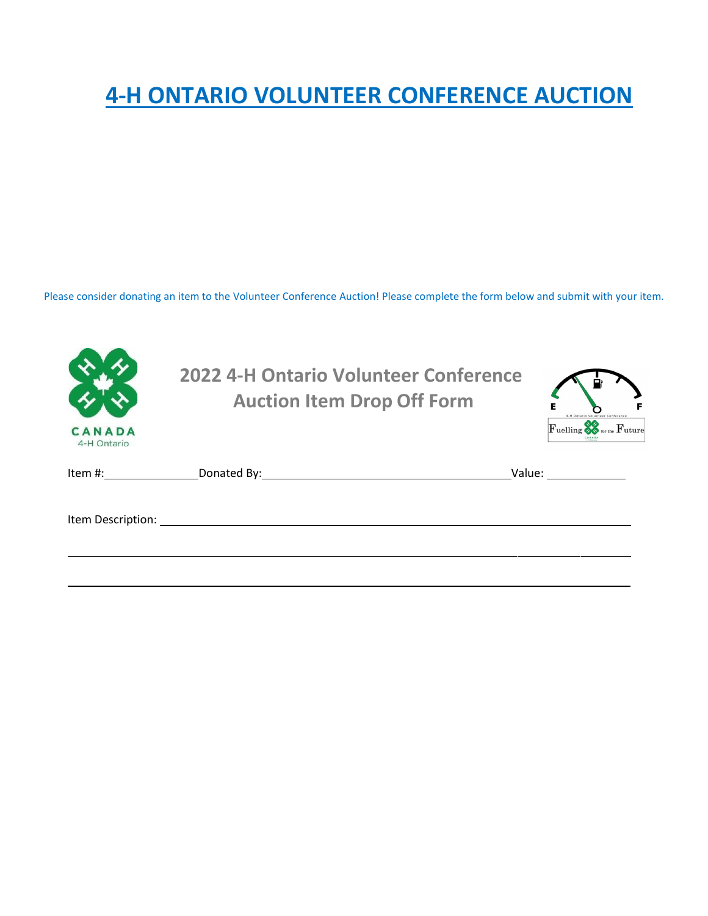# **4-H ONTARIO VOLUNTEER CONFERENCE AUCTION**

Please consider donating an item to the Volunteer Conference Auction! Please complete the form below and submit with your item.

| CANADA<br>4-H Ontario | 2022 4-H Ontario Volunteer Conference<br><b>Auction Item Drop Off Form</b>                                      | Е<br>4-H Ontario Volunteer Conference<br>Fuelling & for the Future                                                                                                                                                             |
|-----------------------|-----------------------------------------------------------------------------------------------------------------|--------------------------------------------------------------------------------------------------------------------------------------------------------------------------------------------------------------------------------|
| Item #:               | Donated By: the contract of the contract of the contract of the contract of the contract of the contract of the | Value: and the value of the value of the value of the value of the value of the value of the value of the value of the value of the value of the value of the value of the value of the value of the value of the value of the |
|                       |                                                                                                                 |                                                                                                                                                                                                                                |
|                       |                                                                                                                 |                                                                                                                                                                                                                                |